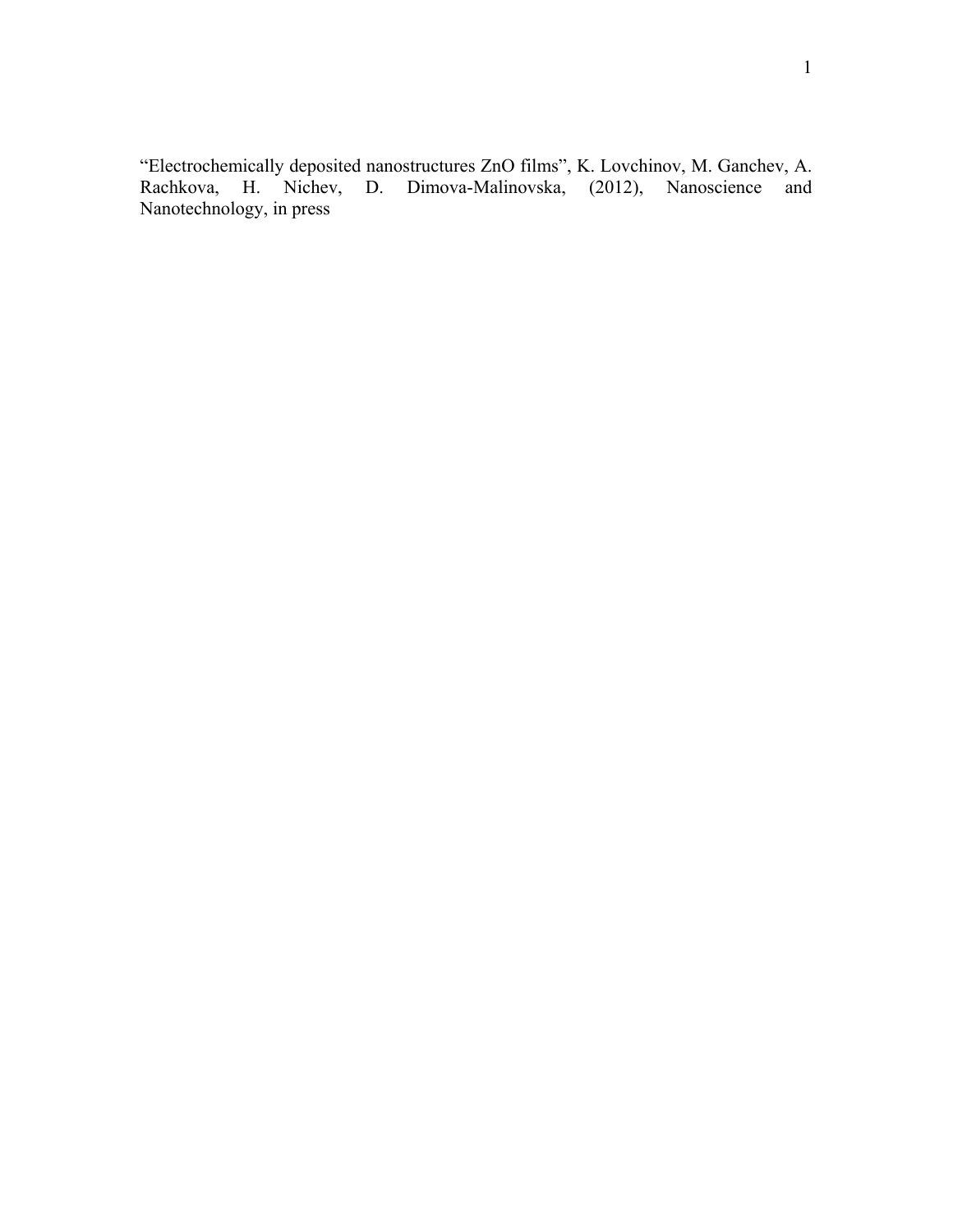"Electrochemically deposited nanostructures ZnO films", K. Lovchinov, M. Ganchev, A. Rachkova, H. Nichev, D. Dimova-Malinovska, (2012), Nanoscience and Nanotechnology, in press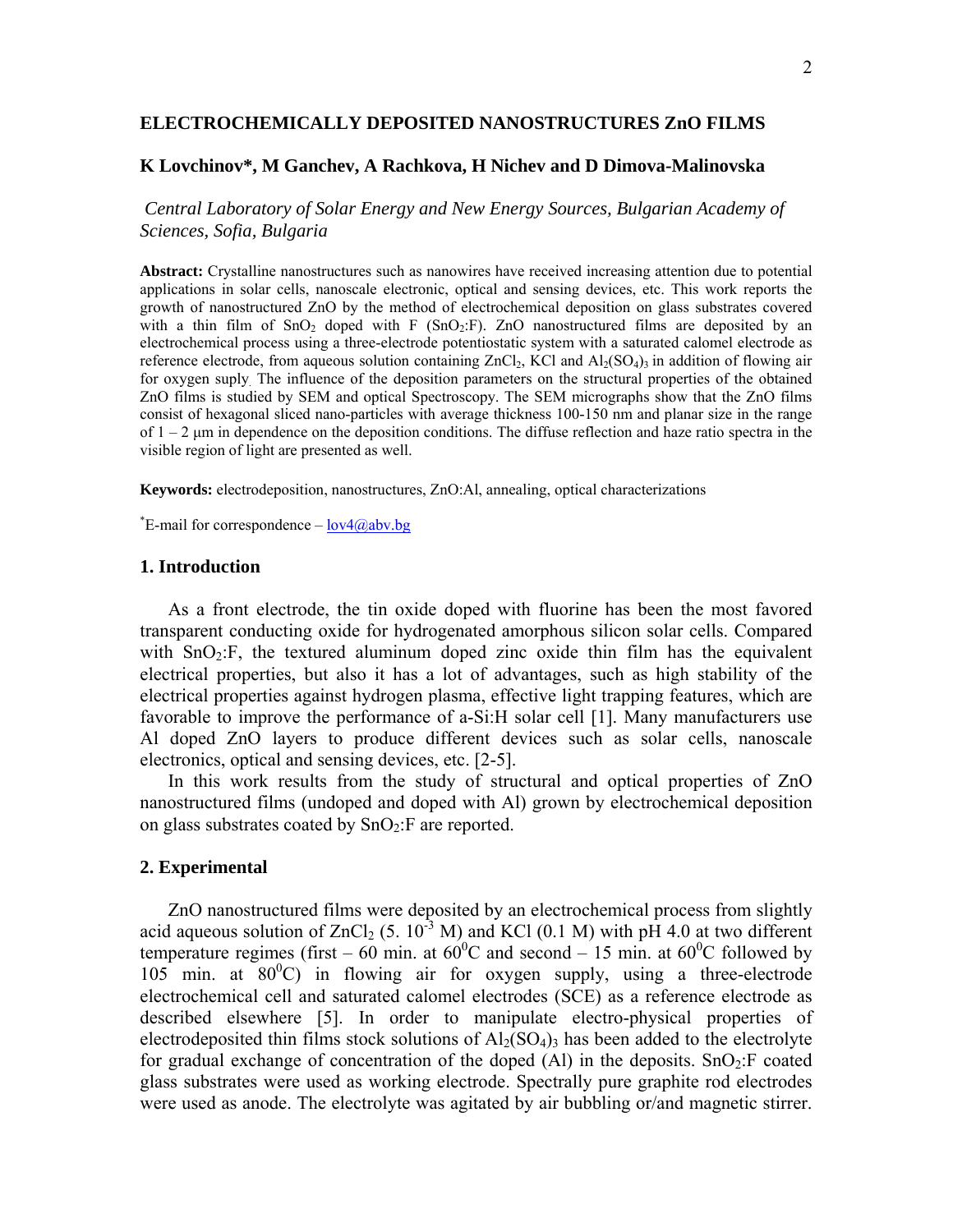# **ELECTROCHEMICALLY DEPOSITED NANOSTRUCTURES ZnO FILMS**

# **K Lovchinov\*, M Ganchev, A Rachkova, H Nichev and D Dimova-Malinovska**

 *Central Laboratory of Solar Energy and New Energy Sources, Bulgarian Academy of Sciences, Sofia, Bulgaria* 

**Abstract:** Crystalline nanostructures such as nanowires have received increasing attention due to potential applications in solar cells, nanoscale electronic, optical and sensing devices, etc. This work reports the growth of nanostructured ZnO by the method of electrochemical deposition on glass substrates covered with a thin film of  $SnO<sub>2</sub>$  doped with F ( $SnO<sub>2</sub>:F$ ). ZnO nanostructured films are deposited by an electrochemical process using a three-electrode potentiostatic system with a saturated calomel electrode as reference electrode, from aqueous solution containing  $ZnCl_2$ , KCl and  $Al_2(SO_4)$ <sub>3</sub> in addition of flowing air for oxygen suply. The influence of the deposition parameters on the structural properties of the obtained ZnO films is studied by SEM and optical Spectroscopy. The SEM micrographs show that the ZnO films consist of hexagonal sliced nano-particles with average thickness 100-150 nm and planar size in the range of  $1 - 2$  μm in dependence on the deposition conditions. The diffuse reflection and haze ratio spectra in the visible region of light are presented as well.

**Keywords:** electrodeposition, nanostructures, ZnO:Al, annealing, optical characterizations

<sup>\*</sup>E-mail for correspondence  $-\frac{lov4(0,abv.bg)}{2}$ 

# **1. Introduction**

As a front electrode, the tin oxide doped with fluorine has been the most favored transparent conducting oxide for hydrogenated amorphous silicon solar cells. Compared with  $SnO<sub>2</sub>:F$ , the textured aluminum doped zinc oxide thin film has the equivalent electrical properties, but also it has a lot of advantages, such as high stability of the electrical properties against hydrogen plasma, effective light trapping features, which are favorable to improve the performance of a-Si:H solar cell [1]. Many manufacturers use Al doped ZnO layers to produce different devices such as solar cells, nanoscale electronics, optical and sensing devices, etc. [2-5].

In this work results from the study of structural and optical properties of ZnO nanostructured films (undoped and doped with Al) grown by electrochemical deposition on glass substrates coated by  $SnO<sub>2</sub>:F$  are reported.

# **2. Experimental**

ZnO nanostructured films were deposited by an electrochemical process from slightly acid aqueous solution of  $ZnCl_2$  (5. 10<sup>-3</sup> M) and KCl (0.1 M) with pH 4.0 at two different temperature regimes (first – 60 min. at  $60^{\circ}$ C and second – 15 min. at  $60^{\circ}$ C followed by  $105$  min. at  $80^{\circ}$ C) in flowing air for oxygen supply, using a three-electrode electrochemical cell and saturated calomel electrodes (SCE) as a reference electrode as described elsewhere [5]. In order to manipulate electro-physical properties of electrodeposited thin films stock solutions of  $A_2(SO_4)$ <sub>3</sub> has been added to the electrolyte for gradual exchange of concentration of the doped  $(A)$  in the deposits. SnO<sub>2</sub>:F coated glass substrates were used as working electrode. Spectrally pure graphite rod electrodes were used as anode. The electrolyte was agitated by air bubbling or/and magnetic stirrer.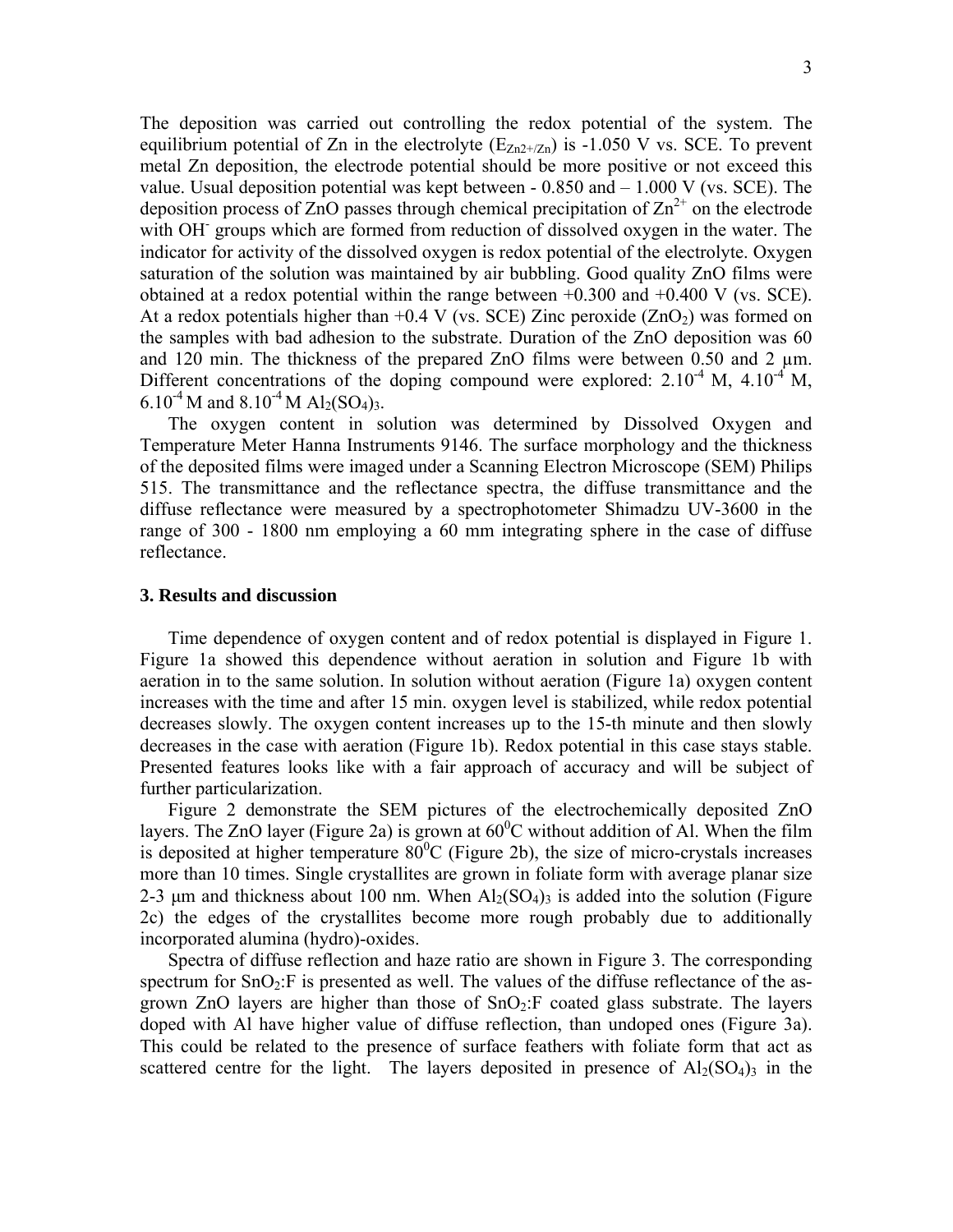The deposition was carried out controlling the redox potential of the system. The equilibrium potential of Zn in the electrolyte  $(E_{Zn2+/Zn})$  is -1.050 V vs. SCE. To prevent metal Zn deposition, the electrode potential should be more positive or not exceed this value. Usual deposition potential was kept between  $-0.850$  and  $-1.000$  V (vs. SCE). The deposition process of ZnO passes through chemical precipitation of  $\text{Zn}^{2+}$  on the electrode with OH<sup>-</sup> groups which are formed from reduction of dissolved oxygen in the water. The indicator for activity of the dissolved oxygen is redox potential of the electrolyte. Oxygen saturation of the solution was maintained by air bubbling. Good quality ZnO films were obtained at a redox potential within the range between  $+0.300$  and  $+0.400$  V (vs. SCE). At a redox potentials higher than  $+0.4$  V (vs. SCE) Zinc peroxide (ZnO<sub>2</sub>) was formed on the samples with bad adhesion to the substrate. Duration of the ZnO deposition was 60 and 120 min. The thickness of the prepared ZnO films were between 0.50 and 2  $\mu$ m. Different concentrations of the doping compound were explored:  $2.10^{-4}$  M,  $4.10^{-4}$  M, 6.10<sup>-4</sup> M and 8.10<sup>-4</sup> M Al<sub>2</sub>(SO<sub>4</sub>)<sub>3</sub>.

The oxygen content in solution was determined by Dissolved Oxygen and Temperature Meter Hanna Instruments 9146. The surface morphology and the thickness of the deposited films were imaged under a Scanning Electron Microscope (SEM) Philips 515. The transmittance and the reflectance spectra, the diffuse transmittance and the diffuse reflectance were measured by a spectrophotometer Shimadzu UV-3600 in the range of 300 - 1800 nm employing a 60 mm integrating sphere in the case of diffuse reflectance.

#### **3. Results and discussion**

Time dependence of oxygen content and of redox potential is displayed in Figure 1. Figure 1a showed this dependence without aeration in solution and Figure 1b with aeration in to the same solution. In solution without aeration (Figure 1a) oxygen content increases with the time and after 15 min. oxygen level is stabilized, while redox potential decreases slowly. The oxygen content increases up to the 15-th minute and then slowly decreases in the case with aeration (Figure 1b). Redox potential in this case stays stable. Presented features looks like with a fair approach of accuracy and will be subject of further particularization.

Figure 2 demonstrate the SEM pictures of the electrochemically deposited ZnO layers. The ZnO layer (Figure 2a) is grown at  $60^{\circ}$ C without addition of Al. When the film is deposited at higher temperature  $80^{\circ}$ C (Figure 2b), the size of micro-crystals increases more than 10 times. Single crystallites are grown in foliate form with average planar size 2-3  $\mu$ m and thickness about 100 nm. When  $Al_2(SO_4)$ <sub>3</sub> is added into the solution (Figure 2c) the edges of the crystallites become more rough probably due to additionally incorporated alumina (hydro)-oxides.

Spectra of diffuse reflection and haze ratio are shown in Figure 3. The corresponding spectrum for  $SnO<sub>2</sub>:F$  is presented as well. The values of the diffuse reflectance of the asgrown ZnO layers are higher than those of  $SnO<sub>2</sub>:F$  coated glass substrate. The layers doped with Al have higher value of diffuse reflection, than undoped ones (Figure 3a). This could be related to the presence of surface feathers with foliate form that act as scattered centre for the light. The layers deposited in presence of  $Al_2(SO_4)$ <sub>3</sub> in the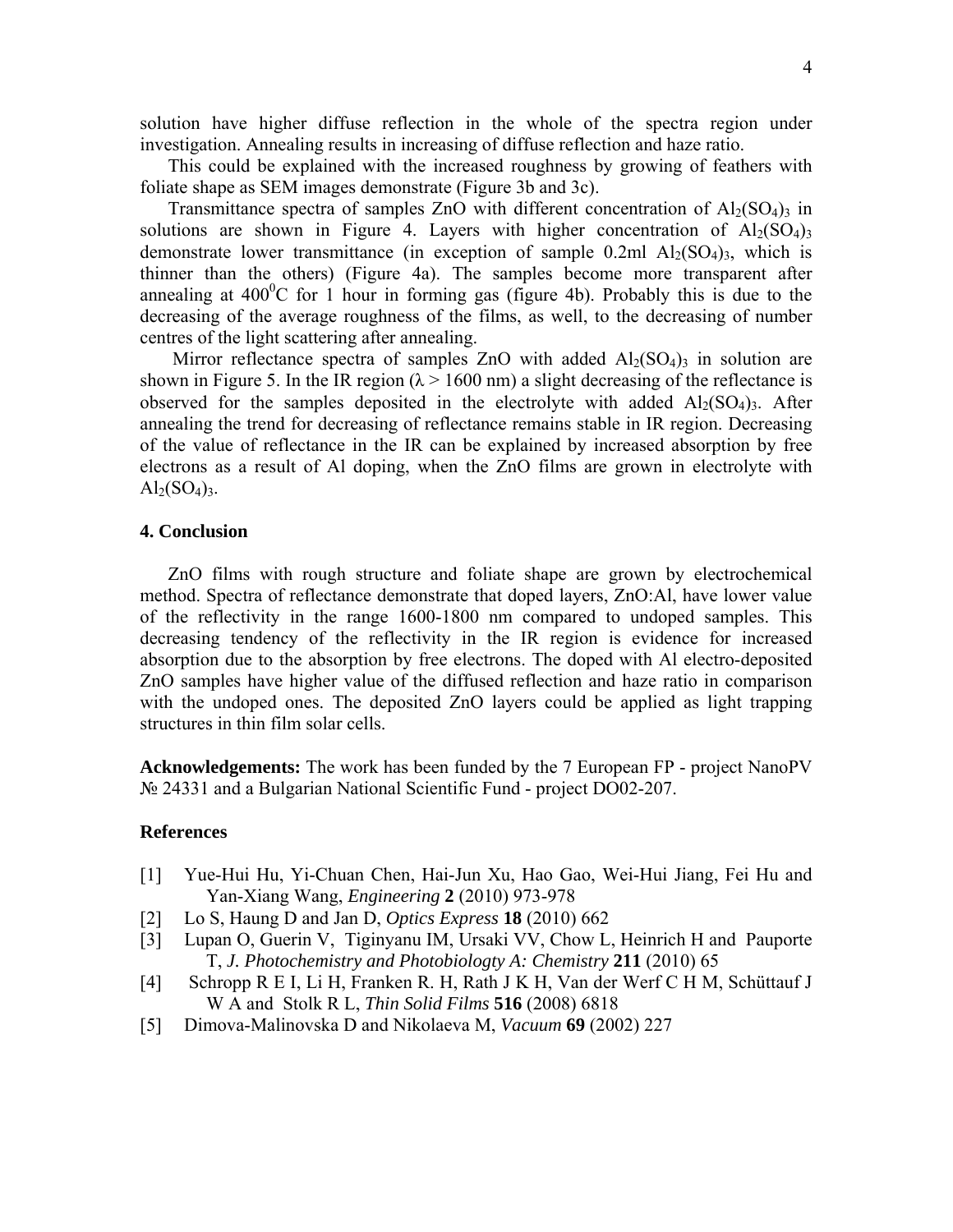solution have higher diffuse reflection in the whole of the spectra region under investigation. Annealing results in increasing of diffuse reflection and haze ratio.

This could be explained with the increased roughness by growing of feathers with foliate shape as SEM images demonstrate (Figure 3b and 3c).

Transmittance spectra of samples ZnO with different concentration of  $A_2(SO_4)$  in solutions are shown in Figure 4. Layers with higher concentration of  $Al<sub>2</sub>(SO<sub>4</sub>)<sub>3</sub>$ demonstrate lower transmittance (in exception of sample  $0.2$ ml  $Al<sub>2</sub>(SO<sub>4</sub>)<sub>3</sub>$ , which is thinner than the others) (Figure 4a). The samples become more transparent after annealing at  $400^{\circ}$ C for 1 hour in forming gas (figure 4b). Probably this is due to the decreasing of the average roughness of the films, as well, to the decreasing of number centres of the light scattering after annealing.

Mirror reflectance spectra of samples ZnO with added  $Al_2(SO_4)$ <sub>3</sub> in solution are shown in Figure 5. In the IR region ( $\lambda$  > 1600 nm) a slight decreasing of the reflectance is observed for the samples deposited in the electrolyte with added  $Al<sub>2</sub>(SO<sub>4</sub>)<sub>3</sub>$ . After annealing the trend for decreasing of reflectance remains stable in IR region. Decreasing of the value of reflectance in the IR can be explained by increased absorption by free electrons as a result of Al doping, when the ZnO films are grown in electrolyte with  $Al_2(SO_4)_3$ .

# **4. Conclusion**

ZnO films with rough structure and foliate shape are grown by electrochemical method. Spectra of reflectance demonstrate that doped layers, ZnO:Al, have lower value of the reflectivity in the range 1600-1800 nm compared to undoped samples. This decreasing tendency of the reflectivity in the IR region is evidence for increased absorption due to the absorption by free electrons. The doped with Al electro-deposited ZnO samples have higher value of the diffused reflection and haze ratio in comparison with the undoped ones. The deposited ZnO layers could be applied as light trapping structures in thin film solar cells.

**Acknowledgements:** The work has been funded by the 7 European FP - project NanoPV № 24331 and a Bulgarian National Scientific Fund - project DO02-207.

# **References**

- [1] Yue-Hui Hu, Yi-Chuan Chen, Hai-Jun Xu, Hao Gao, Wei-Hui Jiang, Fei Hu and Yan-Xiang Wang, *Engineering* **2** (2010) 973-978
- [2] Lo S, Haung D and Jan D, *Optics Express* **18** (2010) 662
- [3] Lupan O, Guerin V, Tiginyanu IM, Ursaki VV, Chow L, Heinrich H and Pauporte T, *J. Photochemistry and Photobiologty A: Chemistry* **211** (2010) 65
- [4] Schropp R E I, Li H, Franken R. H, Rath J K H, Van der Werf C H M, Schüttauf J W A and Stolk R L, *Thin Solid Films* **516** (2008) 6818
- [5] Dimova-Malinovska D and Nikolaeva M, *Vacuum* **69** (2002) 227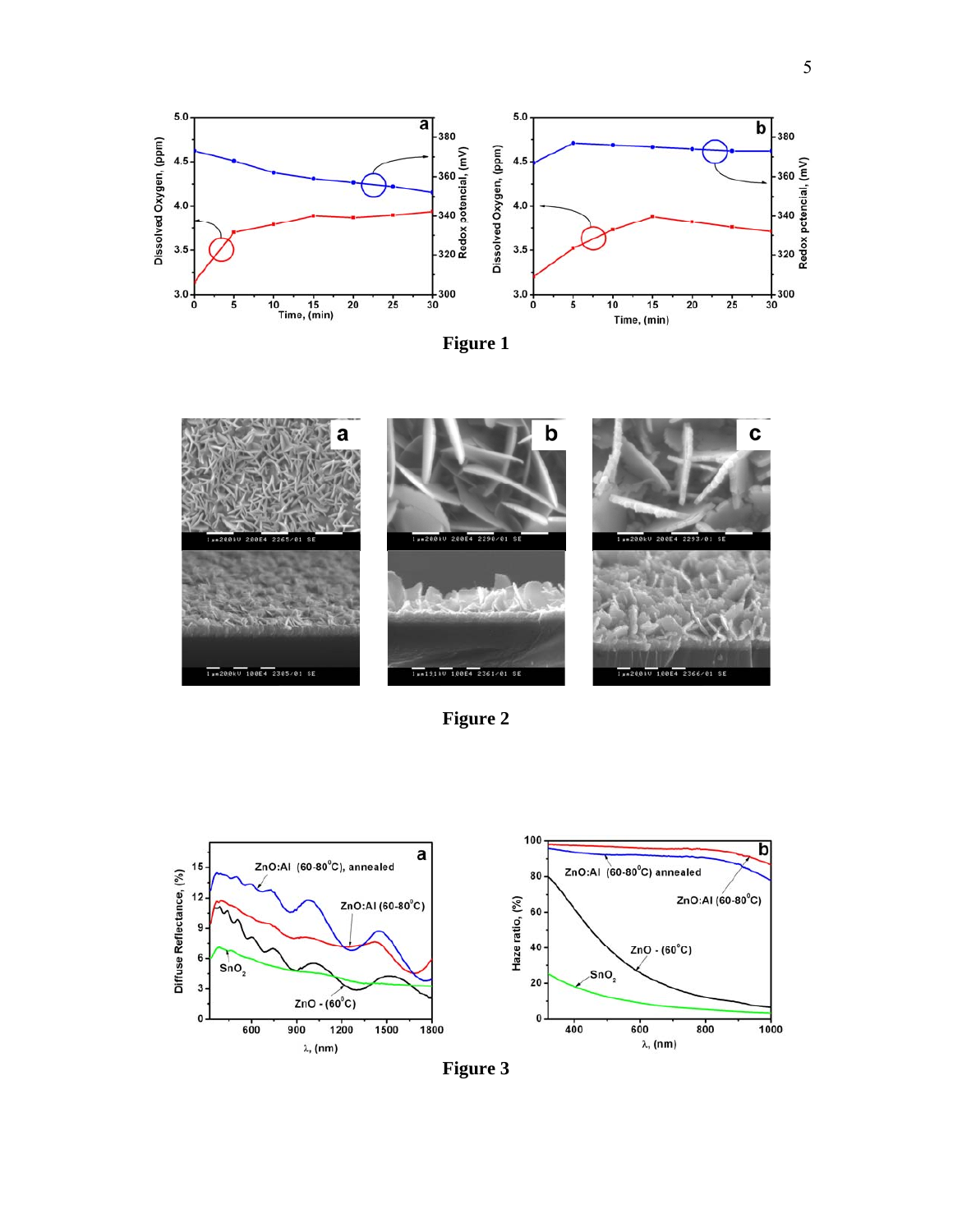



**Figure 2** 



**Figure 3**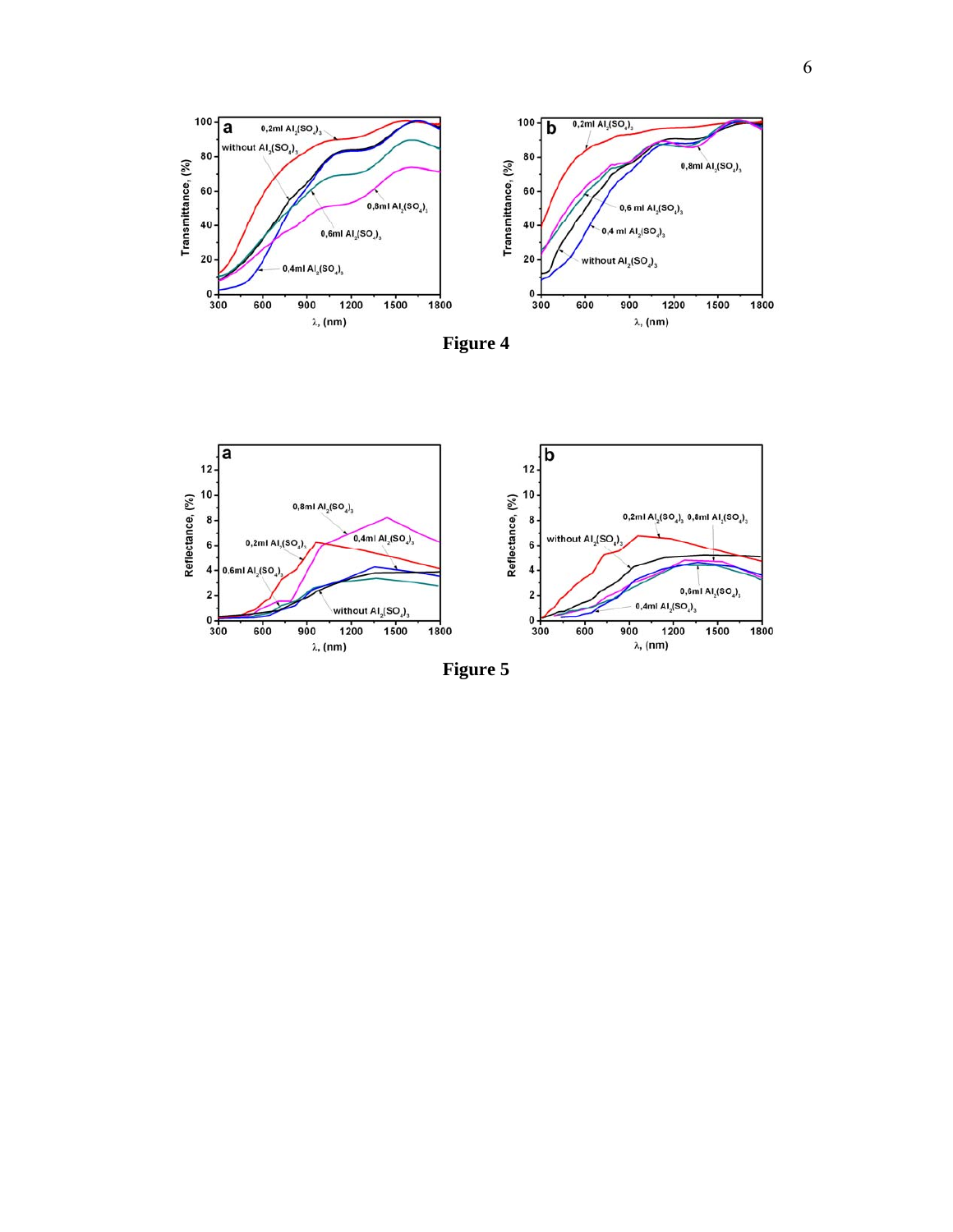





**Figure 5**